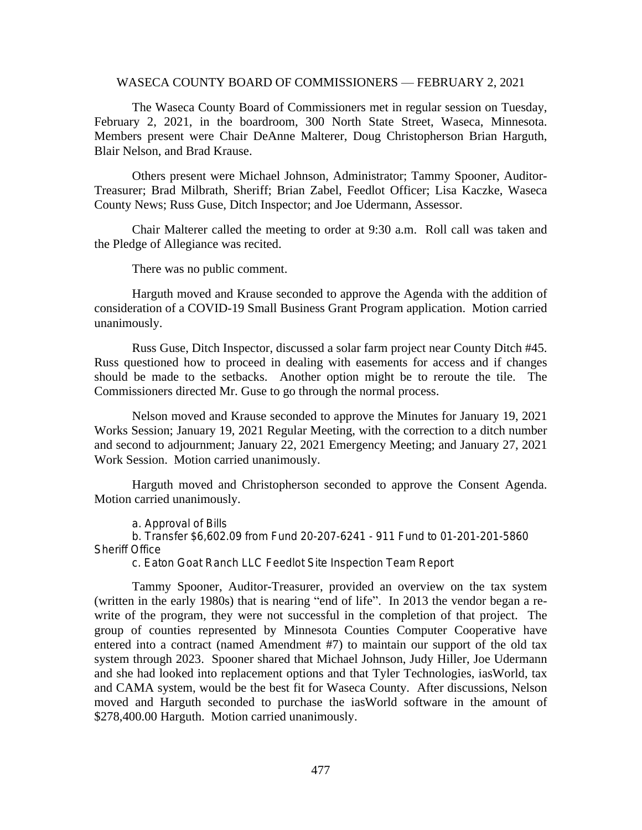## WASECA COUNTY BOARD OF COMMISSIONERS — FEBRUARY 2, 2021

The Waseca County Board of Commissioners met in regular session on Tuesday, February 2, 2021, in the boardroom, 300 North State Street, Waseca, Minnesota. Members present were Chair DeAnne Malterer, Doug Christopherson Brian Harguth, Blair Nelson, and Brad Krause.

Others present were Michael Johnson, Administrator; Tammy Spooner, Auditor-Treasurer; Brad Milbrath, Sheriff; Brian Zabel, Feedlot Officer; Lisa Kaczke, Waseca County News; Russ Guse, Ditch Inspector; and Joe Udermann, Assessor.

Chair Malterer called the meeting to order at 9:30 a.m. Roll call was taken and the Pledge of Allegiance was recited.

There was no public comment.

Harguth moved and Krause seconded to approve the Agenda with the addition of consideration of a COVID-19 Small Business Grant Program application. Motion carried unanimously.

Russ Guse, Ditch Inspector, discussed a solar farm project near County Ditch #45. Russ questioned how to proceed in dealing with easements for access and if changes should be made to the setbacks. Another option might be to reroute the tile. The Commissioners directed Mr. Guse to go through the normal process.

Nelson moved and Krause seconded to approve the Minutes for January 19, 2021 Works Session; January 19, 2021 Regular Meeting, with the correction to a ditch number and second to adjournment; January 22, 2021 Emergency Meeting; and January 27, 2021 Work Session. Motion carried unanimously.

Harguth moved and Christopherson seconded to approve the Consent Agenda. Motion carried unanimously.

a. Approval of Bills

b. Transfer \$6,602.09 from Fund 20-207-6241 - 911 Fund to 01-201-201-5860 Sheriff Office

c. Eaton Goat Ranch LLC Feedlot Site Inspection Team Report

Tammy Spooner, Auditor-Treasurer, provided an overview on the tax system (written in the early 1980s) that is nearing "end of life". In 2013 the vendor began a rewrite of the program, they were not successful in the completion of that project. The group of counties represented by Minnesota Counties Computer Cooperative have entered into a contract (named Amendment #7) to maintain our support of the old tax system through 2023. Spooner shared that Michael Johnson, Judy Hiller, Joe Udermann and she had looked into replacement options and that Tyler Technologies, iasWorld, tax and CAMA system, would be the best fit for Waseca County. After discussions, Nelson moved and Harguth seconded to purchase the iasWorld software in the amount of \$278,400.00 Harguth. Motion carried unanimously.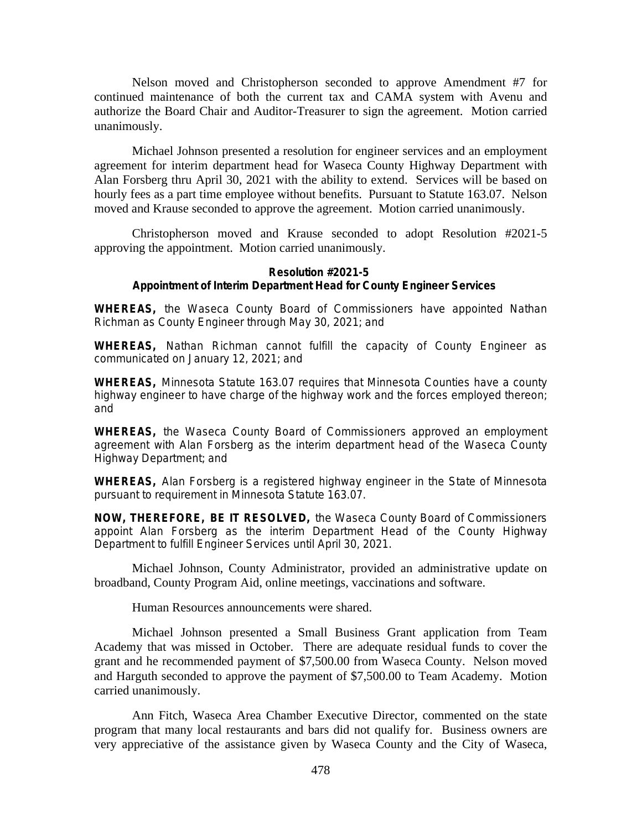Nelson moved and Christopherson seconded to approve Amendment #7 for continued maintenance of both the current tax and CAMA system with Avenu and authorize the Board Chair and Auditor-Treasurer to sign the agreement. Motion carried unanimously.

Michael Johnson presented a resolution for engineer services and an employment agreement for interim department head for Waseca County Highway Department with Alan Forsberg thru April 30, 2021 with the ability to extend. Services will be based on hourly fees as a part time employee without benefits. Pursuant to Statute 163.07. Nelson moved and Krause seconded to approve the agreement. Motion carried unanimously.

Christopherson moved and Krause seconded to adopt Resolution #2021-5 approving the appointment. Motion carried unanimously.

## **Resolution #2021-5 Appointment of Interim Department Head for County Engineer Services**

**WHEREAS,** the Waseca County Board of Commissioners have appointed Nathan Richman as County Engineer through May 30, 2021; and

**WHEREAS,** Nathan Richman cannot fulfill the capacity of County Engineer as communicated on January 12, 2021; and

**WHEREAS,** Minnesota Statute 163.07 requires that Minnesota Counties have a county highway engineer to have charge of the highway work and the forces employed thereon; and

**WHEREAS,** the Waseca County Board of Commissioners approved an employment agreement with Alan Forsberg as the interim department head of the Waseca County Highway Department; and

**WHEREAS,** Alan Forsberg is a registered highway engineer in the State of Minnesota pursuant to requirement in Minnesota Statute 163.07.

**NOW, THEREFORE, BE IT RESOLVED,** the Waseca County Board of Commissioners appoint Alan Forsberg as the interim Department Head of the County Highway Department to fulfill Engineer Services until April 30, 2021.

Michael Johnson, County Administrator, provided an administrative update on broadband, County Program Aid, online meetings, vaccinations and software.

Human Resources announcements were shared.

Michael Johnson presented a Small Business Grant application from Team Academy that was missed in October. There are adequate residual funds to cover the grant and he recommended payment of \$7,500.00 from Waseca County. Nelson moved and Harguth seconded to approve the payment of \$7,500.00 to Team Academy. Motion carried unanimously.

Ann Fitch, Waseca Area Chamber Executive Director, commented on the state program that many local restaurants and bars did not qualify for. Business owners are very appreciative of the assistance given by Waseca County and the City of Waseca,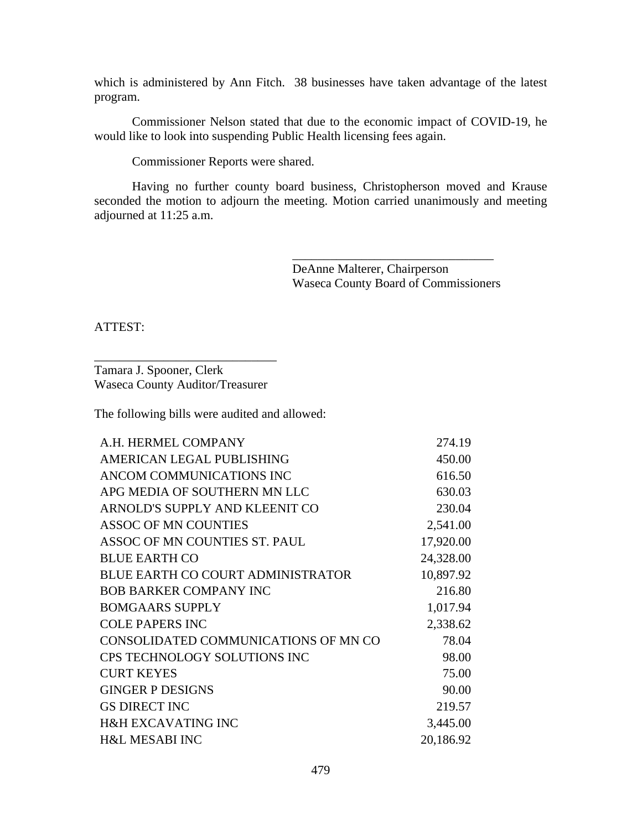which is administered by Ann Fitch. 38 businesses have taken advantage of the latest program.

Commissioner Nelson stated that due to the economic impact of COVID-19, he would like to look into suspending Public Health licensing fees again.

Commissioner Reports were shared.

Having no further county board business, Christopherson moved and Krause seconded the motion to adjourn the meeting. Motion carried unanimously and meeting adjourned at 11:25 a.m.

> DeAnne Malterer, Chairperson Waseca County Board of Commissioners

\_\_\_\_\_\_\_\_\_\_\_\_\_\_\_\_\_\_\_\_\_\_\_\_\_\_\_\_\_\_\_\_

ATTEST:

\_\_\_\_\_\_\_\_\_\_\_\_\_\_\_\_\_\_\_\_\_\_\_\_\_\_\_\_\_ Tamara J. Spooner, Clerk Waseca County Auditor/Treasurer

The following bills were audited and allowed:

| A.H. HERMEL COMPANY                      | 274.19    |
|------------------------------------------|-----------|
| AMERICAN LEGAL PUBLISHING                | 450.00    |
| ANCOM COMMUNICATIONS INC                 | 616.50    |
| APG MEDIA OF SOUTHERN MN LLC             | 630.03    |
| ARNOLD'S SUPPLY AND KLEENIT CO           | 230.04    |
| <b>ASSOC OF MN COUNTIES</b>              | 2,541.00  |
| ASSOC OF MN COUNTIES ST. PAUL            | 17,920.00 |
| <b>BLUE EARTH CO</b>                     | 24,328.00 |
| <b>BLUE EARTH CO COURT ADMINISTRATOR</b> | 10,897.92 |
| <b>BOB BARKER COMPANY INC</b>            | 216.80    |
| <b>BOMGAARS SUPPLY</b>                   | 1,017.94  |
| <b>COLE PAPERS INC</b>                   | 2,338.62  |
| CONSOLIDATED COMMUNICATIONS OF MN CO     | 78.04     |
| <b>CPS TECHNOLOGY SOLUTIONS INC</b>      | 98.00     |
| <b>CURT KEYES</b>                        | 75.00     |
| <b>GINGER P DESIGNS</b>                  | 90.00     |
| <b>GS DIRECT INC</b>                     | 219.57    |
| <b>H&amp;H EXCAVATING INC</b>            | 3,445.00  |
| <b>H&amp;L MESABI INC</b>                | 20,186.92 |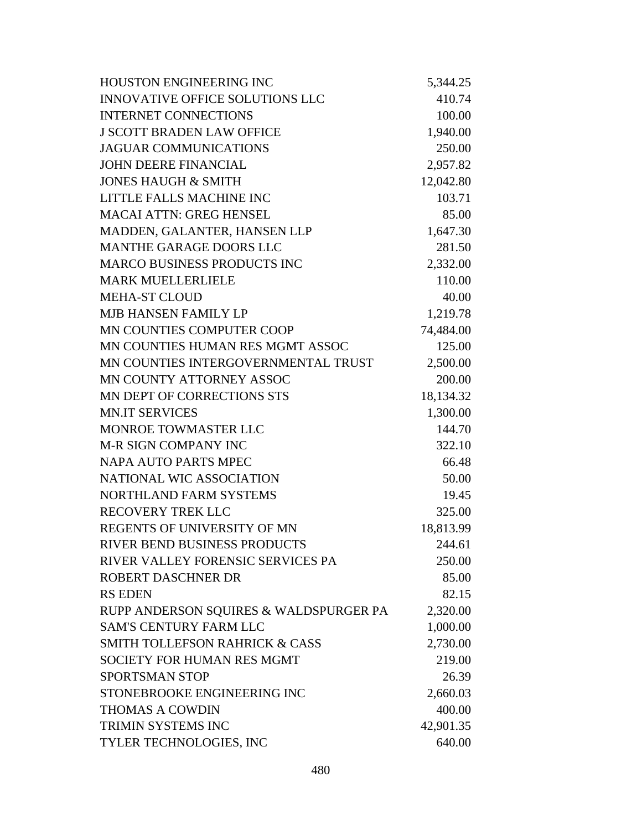| <b>HOUSTON ENGINEERING INC</b>            | 5,344.25  |
|-------------------------------------------|-----------|
| <b>INNOVATIVE OFFICE SOLUTIONS LLC</b>    | 410.74    |
| <b>INTERNET CONNECTIONS</b>               | 100.00    |
| <b>J SCOTT BRADEN LAW OFFICE</b>          | 1,940.00  |
| <b>JAGUAR COMMUNICATIONS</b>              | 250.00    |
| <b>JOHN DEERE FINANCIAL</b>               | 2,957.82  |
| <b>JONES HAUGH &amp; SMITH</b>            | 12,042.80 |
| LITTLE FALLS MACHINE INC                  | 103.71    |
| <b>MACAI ATTN: GREG HENSEL</b>            | 85.00     |
| MADDEN, GALANTER, HANSEN LLP              | 1,647.30  |
| MANTHE GARAGE DOORS LLC                   | 281.50    |
| <b>MARCO BUSINESS PRODUCTS INC</b>        | 2,332.00  |
| <b>MARK MUELLERLIELE</b>                  | 110.00    |
| <b>MEHA-ST CLOUD</b>                      | 40.00     |
| <b>MJB HANSEN FAMILY LP</b>               | 1,219.78  |
| MN COUNTIES COMPUTER COOP                 | 74,484.00 |
| MN COUNTIES HUMAN RES MGMT ASSOC          | 125.00    |
| MN COUNTIES INTERGOVERNMENTAL TRUST       | 2,500.00  |
| MN COUNTY ATTORNEY ASSOC                  | 200.00    |
| MN DEPT OF CORRECTIONS STS                | 18,134.32 |
| <b>MN.IT SERVICES</b>                     | 1,300.00  |
| MONROE TOWMASTER LLC                      | 144.70    |
| <b>M-R SIGN COMPANY INC</b>               | 322.10    |
| <b>NAPA AUTO PARTS MPEC</b>               | 66.48     |
| NATIONAL WIC ASSOCIATION                  | 50.00     |
| NORTHLAND FARM SYSTEMS                    | 19.45     |
| <b>RECOVERY TREK LLC</b>                  | 325.00    |
| REGENTS OF UNIVERSITY OF MN               | 18,813.99 |
| RIVER BEND BUSINESS PRODUCTS              | 244.61    |
| RIVER VALLEY FORENSIC SERVICES PA         | 250.00    |
| <b>ROBERT DASCHNER DR</b>                 | 85.00     |
| <b>RS EDEN</b>                            | 82.15     |
| RUPP ANDERSON SQUIRES & WALDSPURGER PA    | 2,320.00  |
| <b>SAM'S CENTURY FARM LLC</b>             | 1,000.00  |
| <b>SMITH TOLLEFSON RAHRICK &amp; CASS</b> | 2,730.00  |
| <b>SOCIETY FOR HUMAN RES MGMT</b>         | 219.00    |
| <b>SPORTSMAN STOP</b>                     | 26.39     |
| STONEBROOKE ENGINEERING INC               | 2,660.03  |
| <b>THOMAS A COWDIN</b>                    | 400.00    |
| TRIMIN SYSTEMS INC                        | 42,901.35 |
| TYLER TECHNOLOGIES, INC                   | 640.00    |